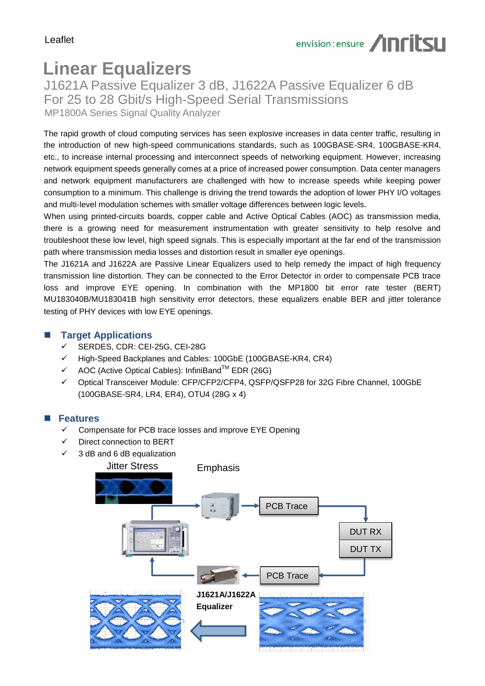# **Linear Equalizers**

J1621A Passive Equalizer 3 dB, J1622A Passive Equalizer 6 dB For 25 to 28 Gbit/s High-Speed Serial Transmissions MP1800A Series Signal Quality Analyzer

The rapid growth of cloud computing services has seen explosive increases in data center traffic, resulting in the introduction of new high-speed communications standards, such as 100GBASE-SR4, 100GBASE-KR4, etc., to increase internal processing and interconnect speeds of networking equipment. However, increasing network equipment speeds generally comes at a price of increased power consumption. Data center managers and network equipment manufacturers are challenged with how to increase speeds while keeping power consumption to a minimum. This challenge is driving the trend towards the adoption of lower PHY I/O voltages and multi-level modulation schemes with smaller voltage differences between logic levels.

When using printed-circuits boards, copper cable and Active Optical Cables (AOC) as transmission media, there is a growing need for measurement instrumentation with greater sensitivity to help resolve and troubleshoot these low level, high speed signals. This is especially important at the far end of the transmission path where transmission media losses and distortion result in smaller eye openings.

The J1621A and J1622A are Passive Linear Equalizers used to help remedy the impact of high frequency transmission line distortion. They can be connected to the Error Detector in order to compensate PCB trace loss and improve EYE opening. In combination with the MP1800 bit error rate tester (BERT) MU183040B/MU183041B high sensitivity error detectors, these equalizers enable BER and jitter tolerance testing of PHY devices with low EYE openings.

#### **Target Applications**

- SERDES, CDR: CEI-25G, CEI-28G
- $\checkmark$  High-Speed Backplanes and Cables: 100GbE (100GBASE-KR4, CR4)
- $\checkmark$  AOC (Active Optical Cables): InfiniBand<sup>TM</sup> EDR (26G)
- Optical Transceiver Module: CFP/CFP2/CFP4, QSFP/QSFP28 for 32G Fibre Channel, 100GbE (100GBASE-SR4, LR4, ER4), OTU4 (28G x 4)

#### **Features**

- Compensate for PCB trace losses and improve EYE Opening
- Direct connection to BERT
- 3 dB and 6 dB equalization